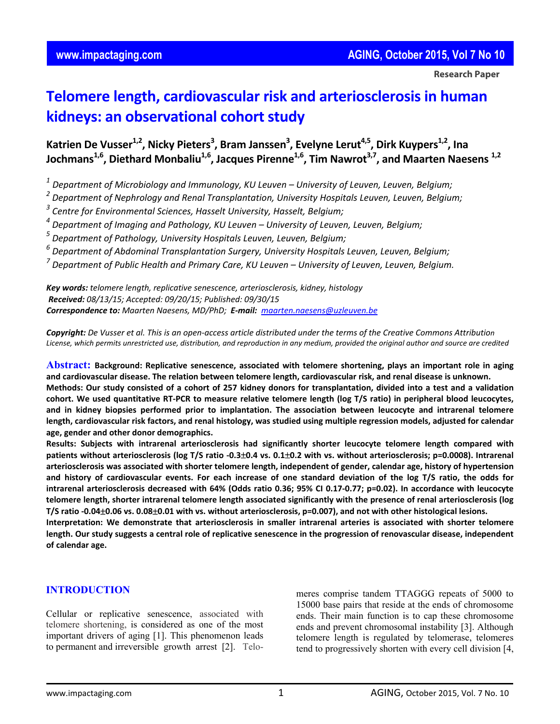**Research Paper**

# **Telomere length, cardiovascular risk and arteriosclerosisin human kidneys: an observational cohort study**

 $K$ atrien De Vusser<sup>1,2</sup>, Nicky Pieters<sup>3</sup>, Bram Janssen<sup>3</sup>, Evelyne Lerut<sup>4,5</sup>, Dirk Kuypers<sup>1,2</sup>, Ina **Jochmans1,6, Diethard Monbaliu1,6, Jacques Pirenne1,6, Tim Nawrot3,7, and Maarten Naesens 1,2**

*<sup>1</sup> Department of Microbiology and Immunology, KU Leuven – University of Leuven, Leuven, Belgium;*

*<sup>2</sup> Department of Nephrology and Renal Transplantation, University Hospitals Leuven, Leuven, Belgium;*

*<sup>3</sup> Centre for Environmental Sciences, Hasselt University, Hasselt, Belgium;*

*<sup>4</sup> Department of Imaging and Pathology, KU Leuven – University of Leuven, Leuven, Belgium;*

*<sup>5</sup> Department of Pathology, University Hospitals Leuven, Leuven, Belgium;*

*<sup>6</sup> Department of Abdominal Transplantation Surgery, University Hospitals Leuven, Leuven, Belgium;*

*<sup>7</sup> Department of Public Health and Primary Care, KU Leuven – University of Leuven, Leuven, Belgium.*

*Key words: telomere length, replicative senescence, arteriosclerosis, kidney, histology Received: 08/13/15; Accepted: 09/20/15; Published: 09/30/15 Correspondence to: Maarten Naesens, MD/PhD; E‐mail: maarten.naesens@uzleuven.be*

Copyright: De Vusser et al. This is an open-access article distributed under the terms of the Creative Commons Attribution License, which permits unrestricted use, distribution, and reproduction in any medium, provided the original author and source are credited

**Abstract: Background: Replicative senescence, associated with telomere shortening, plays an important role in aging and cardiovascular disease. The relation between telomere length, cardiovascular risk, and renal disease is unknown.** Methods: Our study consisted of a cohort of 257 kidney donors for transplantation, divided into a test and a validation cohort. We used quantitative RT-PCR to measure relative telomere length (log T/S ratio) in peripheral blood leucocytes, **and in kidney biopsies performed prior to implantation. The association between leucocyte and intrarenal telomere** length, cardiovascular risk factors, and renal histology, was studied using multiple regression models, adjusted for calendar **age, gender and other donor demographics.** 

**Results: Subjects with intrarenal arteriosclerosis had significantly shorter leucocyte telomere length compared with** patients without arteriosclerosis ( $log T/S$  ratio -0.3 $\pm$ 0.4 vs. 0.1 $\pm$ 0.2 with vs. without arteriosclerosis; p=0.0008). Intrarenal arteriosclerosis was associated with shorter telomere length, independent of gender, calendar age, history of hypertension and history of cardiovascular events. For each increase of one standard deviation of the log T/S ratio, the odds for intrarenal arteriosclerosis decreased with 64% (Odds ratio 0.36; 95% CI 0.17-0.77; p=0.02). In accordance with leucocyte telomere length, shorter intrarenal telomere length associated significantly with the presence of renal arteriosclerosis (log T/S ratio -0.04±0.06 vs. 0.08±0.01 with vs. without arteriosclerosis, p=0.007), and not with other histological lesions.

**Interpretation: We demonstrate that arteriosclerosis in smaller intrarenal arteries is associated with shorter telomere** length. Our study suggests a central role of replicative senescence in the progression of renovascular disease, independent **of calendar age.**

# **INTRODUCTION**

Cellular or replicative senescence, associated with telomere shortening, is considered as one of the most important drivers of aging [1]. This phenomenon leads to permanent and irreversible growth arrest [2]. Telo-

meres comprise tandem TTAGGG repeats of 5000 to 15000 base pairs that reside at the ends of chromosome ends. Their main function is to cap these chromosome ends and prevent chromosomal instability [3]. Although telomere length is regulated by telomerase, telomeres tend to progressively shorten with every cell division [4,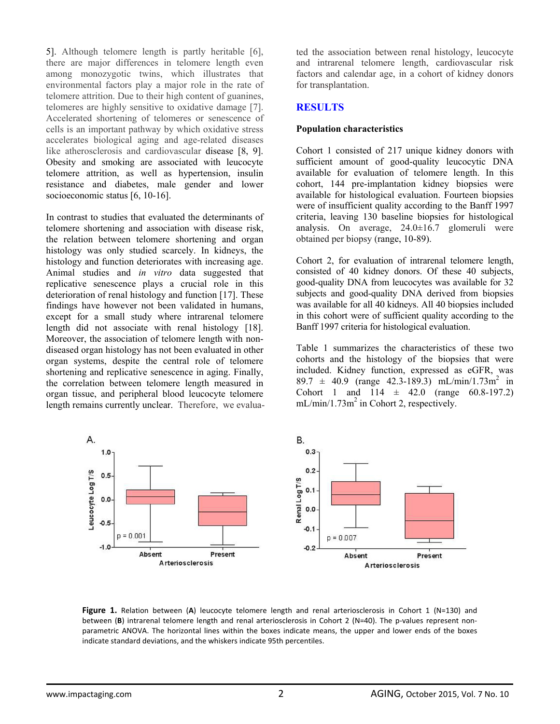5]. Although telomere length is partly heritable [6], there are major differences in telomere length even among monozygotic twins, which illustrates that environmental factors play a major role in the rate of telomere attrition. Due to their high content of guanines, telomeres are highly sensitive to oxidative damage [7]. Accelerated shortening of telomeres or senescence of cells is an important pathway by which oxidative stress accelerates biological aging and age-related diseases like atherosclerosis and cardiovascular disease [8, 9]. Obesity and smoking are associated with leucocyte telomere attrition, as well as hypertension, insulin resistance and diabetes, male gender and lower socioeconomic status [6, 10-16].

In contrast to studies that evaluated the determinants of telomere shortening and association with disease risk, the relation between telomere shortening and organ histology was only studied scarcely. In kidneys, the histology and function deteriorates with increasing age. Animal studies and *in vitro* data suggested that replicative senescence plays a crucial role in this deterioration of renal histology and function [17]. These findings have however not been validated in humans, except for a small study where intrarenal telomere length did not associate with renal histology [18]. Moreover, the association of telomere length with nondiseased organ histology has not been evaluated in other organ systems, despite the central role of telomere shortening and replicative senescence in aging. Finally, the correlation between telomere length measured in organ tissue, and peripheral blood leucocyte telomere length remains currently unclear. Therefore, we evaluated the association between renal histology, leucocyte and intrarenal telomere length, cardiovascular risk factors and calendar age, in a cohort of kidney donors for transplantation.

# **RESULTS**

### **Population characteristics**

Cohort 1 consisted of 217 unique kidney donors with sufficient amount of good-quality leucocytic DNA available for evaluation of telomere length. In this cohort, 144 pre-implantation kidney biopsies were available for histological evaluation. Fourteen biopsies were of insufficient quality according to the Banff 1997 criteria, leaving 130 baseline biopsies for histological analysis. On average, 24.0±16.7 glomeruli were obtained per biopsy (range, 10-89).

Cohort 2, for evaluation of intrarenal telomere length, consisted of 40 kidney donors. Of these 40 subjects, good-quality DNA from leucocytes was available for 32 subjects and good-quality DNA derived from biopsies was available for all 40 kidneys. All 40 biopsies included in this cohort were of sufficient quality according to the Banff 1997 criteria for histological evaluation.

Table 1 summarizes the characteristics of these two cohorts and the histology of the biopsies that were included. Kidney function, expressed as eGFR, was  $89.7 \pm 40.9$  (range 42.3-189.3) mL/min/1.73m<sup>2</sup> in Cohort 1 and  $114 \pm 42.0$  (range 60.8-197.2) mL/min/1.73m<sup>2</sup> in Cohort 2, respectively.



**Figure 1.** Relation between (**A**) leucocyte telomere length and renal arteriosclerosis in Cohort 1 (N=130) and between (B) intrarenal telomere length and renal arteriosclerosis in Cohort 2 (N=40). The p-values represent nonparametric ANOVA. The horizontal lines within the boxes indicate means, the upper and lower ends of the boxes indicate standard deviations, and the whiskers indicate 95th percentiles.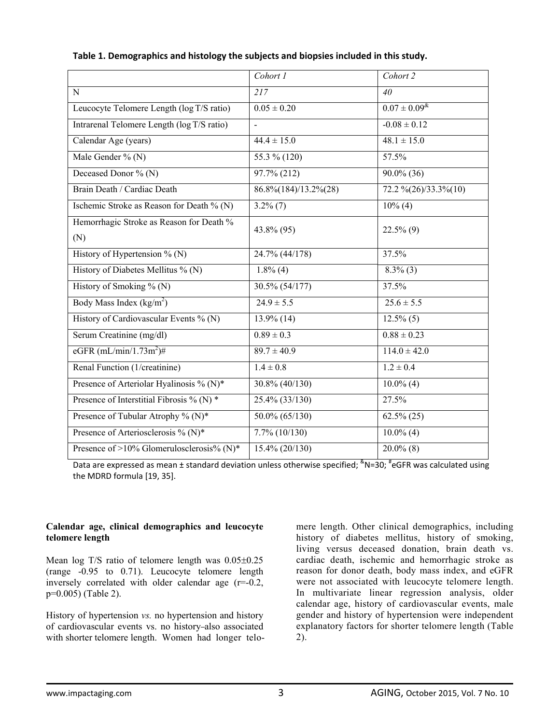|                                                | Cohort 1               | Cohort 2                  |
|------------------------------------------------|------------------------|---------------------------|
| $\mathbf N$                                    | $\overline{217}$       | 40                        |
| Leucocyte Telomere Length (log T/S ratio)      | $0.05 \pm 0.20$        | $0.07 \pm 0.09^{\&}$      |
| Intrarenal Telomere Length (log T/S ratio)     | $\overline{a}$         | $-0.08 \pm 0.12$          |
| Calendar Age (years)                           | $44.4 \pm 15.0$        | $48.1 \pm 15.0$           |
| Male Gender % (N)                              | 55.3 % (120)           | 57.5%                     |
| Deceased Donor <sup>9</sup> / <sub>0</sub> (N) | $97.7\% (212)$         | $90.0\%$ (36)             |
| Brain Death / Cardiac Death                    | 86.8% (184)/13.2% (28) | $72.2\% (26)/33.3\% (10)$ |
| Ischemic Stroke as Reason for Death % (N)      | $3.2\%$ (7)            | $10\%$ (4)                |
| Hemorrhagic Stroke as Reason for Death %       | 43.8% (95)             | $22.5\%$ (9)              |
| (N)                                            |                        |                           |
| History of Hypertension $\%$ (N)               | 24.7% (44/178)         | 37.5%                     |
| History of Diabetes Mellitus % (N)             | $1.8\%$ (4)            | $8.3\%$ (3)               |
| History of Smoking % (N)                       | $30.5\%$ (54/177)      | 37.5%                     |
| Body Mass Index $(kg/m2)$                      | $24.9 \pm 5.5$         | $25.6 \pm 5.5$            |
| History of Cardiovascular Events % (N)         | $13.9\%$ (14)          | $12.5\%$ (5)              |
| Serum Creatinine (mg/dl)                       | $0.89 \pm 0.3$         | $0.88 \pm 0.23$           |
| eGFR $(mL/min/1.73m^2)$ #                      | $89.7 \pm 40.9$        | $114.0 \pm 42.0$          |
| Renal Function (1/creatinine)                  | $1.4 \pm 0.8$          | $1.2 \pm 0.4$             |
| Presence of Arteriolar Hyalinosis % (N)*       | 30.8% (40/130)         | $10.0\%$ (4)              |
| Presence of Interstitial Fibrosis % (N) $*$    | 25.4% (33/130)         | 27.5%                     |
| Presence of Tubular Atrophy % (N)*             | 50.0% (65/130)         | $62.5\% (25)$             |
| Presence of Arteriosclerosis % (N)*            | $7.7\%$ $(10/130)$     | $10.0\%$ (4)              |
| Presence of >10% Glomerulosclerosis% (N)*      | $15.4\% (20/130)$      | $20.0\%$ (8)              |

## **Table 1. Demographics and histology the subjects and biopsies included in this study.**

Data are expressed as mean ± standard deviation unless otherwise specified; <sup>&</sup>N=30; <sup>#</sup>eGFR was calculated using the MDRD formula [19, 35].

### **Calendar age, clinical demographics and leucocyte telomere length**

Mean log T/S ratio of telomere length was 0.05±0.25 (range -0.95 to 0.71). Leucocyte telomere length inversely correlated with older calendar age (r=-0.2, p=0.005) (Table 2).

History of hypertension *vs.* no hypertension and history of cardiovascular events vs. no history also associated with shorter telomere length. Women had longer telo-

mere length. Other clinical demographics, including history of diabetes mellitus, history of smoking, living versus deceased donation, brain death vs. cardiac death, ischemic and hemorrhagic stroke as reason for donor death, body mass index, and eGFR were not associated with leucocyte telomere length. In multivariate linear regression analysis, older calendar age, history of cardiovascular events, male gender and history of hypertension were independent explanatory factors for shorter telomere length (Table 2).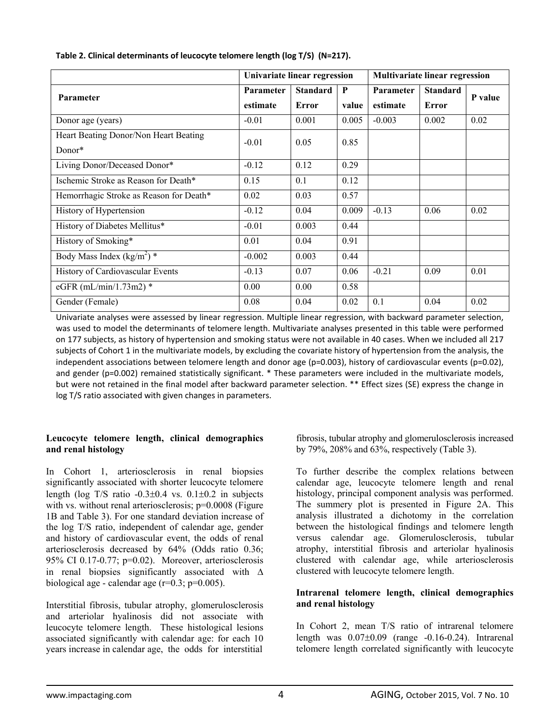|                                         | Univariate linear regression |                 |       | <b>Multivariate linear regression</b> |                 |         |
|-----------------------------------------|------------------------------|-----------------|-------|---------------------------------------|-----------------|---------|
| Parameter                               | Parameter                    | <b>Standard</b> | P     | Parameter                             | <b>Standard</b> | P value |
|                                         | estimate                     | Error           | value | estimate                              | Error           |         |
| Donor age (years)                       | $-0.01$                      | 0.001           | 0.005 | $-0.003$                              | 0.002           | 0.02    |
| Heart Beating Donor/Non Heart Beating   | $-0.01$                      | 0.05            | 0.85  |                                       |                 |         |
| Donor*                                  |                              |                 |       |                                       |                 |         |
| Living Donor/Deceased Donor*            | $-0.12$                      | 0.12            | 0.29  |                                       |                 |         |
| Ischemic Stroke as Reason for Death*    | 0.15                         | 0.1             | 0.12  |                                       |                 |         |
| Hemorrhagic Stroke as Reason for Death* | 0.02                         | 0.03            | 0.57  |                                       |                 |         |
| History of Hypertension                 | $-0.12$                      | 0.04            | 0.009 | $-0.13$                               | 0.06            | 0.02    |
| History of Diabetes Mellitus*           | $-0.01$                      | 0.003           | 0.44  |                                       |                 |         |
| History of Smoking*                     | 0.01                         | 0.04            | 0.91  |                                       |                 |         |
| Body Mass Index $(kg/m^2)$ *            | $-0.002$                     | 0.003           | 0.44  |                                       |                 |         |
| History of Cardiovascular Events        | $-0.13$                      | 0.07            | 0.06  | $-0.21$                               | 0.09            | 0.01    |
| eGFR (mL/min/1.73m2) $*$                | 0.00                         | 0.00            | 0.58  |                                       |                 |         |
| Gender (Female)                         | 0.08                         | 0.04            | 0.02  | 0.1                                   | 0.04            | 0.02    |

### **Table 2. Clinical determinants of leucocyte telomere length (log T/S) (N=217).**

Univariate analyses were assessed by linear regression. Multiple linear regression, with backward parameter selection, was used to model the determinants of telomere length. Multivariate analyses presented in this table were performed on 177 subjects, as history of hypertension and smoking status were not available in 40 cases. When we included all 217 subjects of Cohort 1 in the multivariate models, by excluding the covariate history of hypertension from the analysis, the independent associations between telomere length and donor age (p=0.003), history of cardiovascular events (p=0.02), and gender (p=0.002) remained statistically significant. \* These parameters were included in the multivariate models, but were not retained in the final model after backward parameter selection. \*\* Effect sizes (SE) express the change in log T/S ratio associated with given changes in parameters.

### **Leucocyte telomere length, clinical demographics and renal histology**

In Cohort 1, arteriosclerosis in renal biopsies significantly associated with shorter leucocyte telomere length (log  $T/S$  ratio  $-0.3\pm0.4$  vs.  $0.1\pm0.2$  in subjects with vs. without renal arteriosclerosis; p=0.0008 (Figure 1B and Table 3). For one standard deviation increase of the log T/S ratio, independent of calendar age, gender and history of cardiovascular event, the odds of renal arteriosclerosis decreased by 64% (Odds ratio 0.36; 95% CI 0.17-0.77; p=0.02). Moreover, arteriosclerosis in renal biopsies significantly associated with  $\Delta$ biological age - calendar age  $(r=0.3; p=0.005)$ .

Interstitial fibrosis, tubular atrophy, glomerulosclerosis and arteriolar hyalinosis did not associate with leucocyte telomere length. These histological lesions associated significantly with calendar age: for each 10 years increase in calendar age, the odds for interstitial

fibrosis, tubular atrophy and glomerulosclerosis increased by 79%, 208% and 63%, respectively (Table 3).

To further describe the complex relations between calendar age, leucocyte telomere length and renal histology, principal component analysis was performed. The summery plot is presented in Figure 2A. This analysis illustrated a dichotomy in the correlation between the histological findings and telomere length versus calendar age. Glomerulosclerosis, tubular atrophy, interstitial fibrosis and arteriolar hyalinosis clustered with calendar age, while arteriosclerosis clustered with leucocyte telomere length.

## **Intrarenal telomere length, clinical demographics and renal histology**

In Cohort 2, mean T/S ratio of intrarenal telomere length was 0.07±0.09 (range -0.16-0.24). Intrarenal telomere length correlated significantly with leucocyte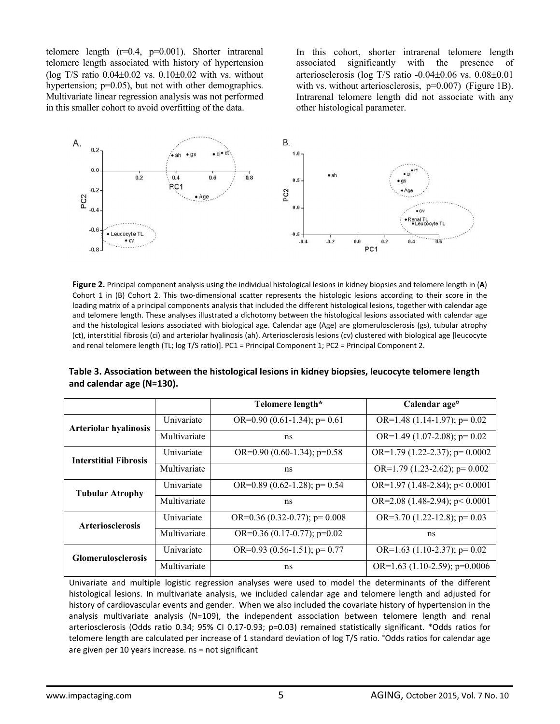telomere length (r=0.4, p=0.001). Shorter intrarenal telomere length associated with history of hypertension (log T/S ratio  $0.04\pm0.02$  vs.  $0.10\pm0.02$  with vs. without hypertension;  $p=0.05$ ), but not with other demographics. Multivariate linear regression analysis was not performed in this smaller cohort to avoid overfitting of the data.

In this cohort, shorter intrarenal telomere length associated significantly with the presence of arteriosclerosis (log T/S ratio -0.04±0.06 vs. 0.08±0.01 with vs. without arteriosclerosis,  $p=0.007$ ) (Figure 1B). Intrarenal telomere length did not associate with any other histological parameter.



**Figure 2.** Principal component analysis using the individual histological lesions in kidney biopsies and telomere length in (**A**) Cohort 1 in (B) Cohort 2. This two‐dimensional scatter represents the histologic lesions according to their score in the loading matrix of a principal components analysis that included the different histological lesions, together with calendar age and telomere length. These analyses illustrated a dichotomy between the histological lesions associated with calendar age and the histological lesions associated with biological age. Calendar age (Age) are glomerulosclerosis (gs), tubular atrophy (ct), interstitial fibrosis (ci) and arteriolar hyalinosis (ah). Arteriosclerosis lesions (cv) clustered with biological age [leucocyte and renal telomere length (TL; log T/S ratio)]. PC1 = Principal Component 1; PC2 = Principal Component 2.

| Table 3. Association between the histological lesions in kidney biopsies, leucocyte telomere length |  |
|-----------------------------------------------------------------------------------------------------|--|
| and calendar age (N=130).                                                                           |  |

|                              |              | Telomere length*                  | Calendar age <sup>o</sup>           |
|------------------------------|--------------|-----------------------------------|-------------------------------------|
| <b>Arteriolar hyalinosis</b> | Univariate   | OR= $0.90$ (0.61-1.34); p= 0.61   | OR= $1.48$ (1.14-1.97); p= 0.02     |
|                              | Multivariate | ns                                | OR= $1.49$ (1.07-2.08); p= 0.02     |
| <b>Interstitial Fibrosis</b> | Univariate   | OR= $0.90$ (0.60-1.34); p= $0.58$ | OR= $1.79$ (1.22-2.37); p= 0.0002   |
|                              | Multivariate | ns                                | OR= $1.79$ (1.23-2.62); p= 0.002    |
| <b>Tubular Atrophy</b>       | Univariate   | OR= $0.89$ (0.62-1.28); p= 0.54   | OR= $1.97$ (1.48-2.84); p < 0.0001  |
|                              | Multivariate | ns                                | OR= $2.08$ (1.48-2.94); p < 0.0001  |
| <b>Arteriosclerosis</b>      | Univariate   | OR= $0.36$ (0.32-0.77); p= 0.008  | OR=3.70 $(1.22-12.8)$ ; p= 0.03     |
|                              | Multivariate | OR= $0.36$ (0.17-0.77); p= $0.02$ | ns                                  |
| <b>Glomerulosclerosis</b>    | Univariate   | OR= $0.93$ (0.56-1.51); p= 0.77   | OR= $1.63$ (1.10-2.37); p= 0.02     |
|                              | Multivariate | ns                                | OR= $1.63$ (1.10-2.59); p= $0.0006$ |

Univariate and multiple logistic regression analyses were used to model the determinants of the different histological lesions. In multivariate analysis, we included calendar age and telomere length and adjusted for history of cardiovascular events and gender. When we also included the covariate history of hypertension in the analysis multivariate analysis (N=109), the independent association between telomere length and renal arteriosclerosis (Odds ratio 0.34; 95% CI 0.17‐0.93; p=0.03) remained statistically significant. \*Odds ratios for telomere length are calculated per increase of 1 standard deviation of log T/S ratio. °Odds ratios for calendar age are given per 10 years increase. ns = not significant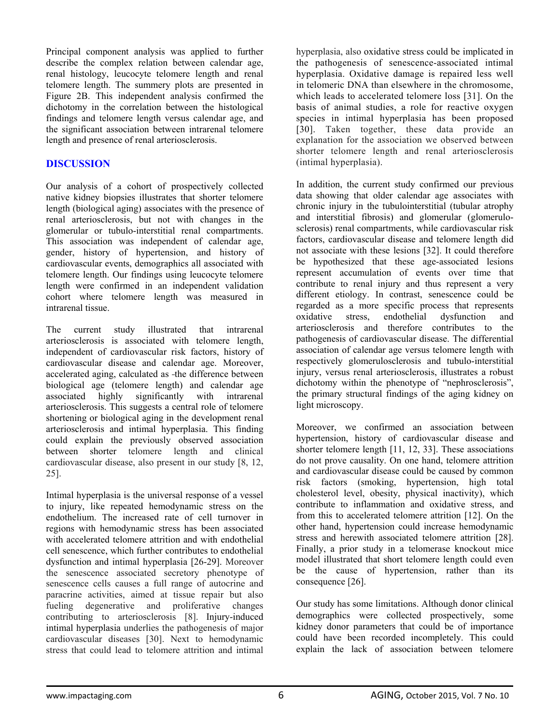Principal component analysis was applied to further describe the complex relation between calendar age, renal histology, leucocyte telomere length and renal telomere length. The summery plots are presented in Figure 2B. This independent analysis confirmed the dichotomy in the correlation between the histological findings and telomere length versus calendar age, and the significant association between intrarenal telomere length and presence of renal arteriosclerosis.

# **DISCUSSION**

Our analysis of a cohort of prospectively collected native kidney biopsies illustrates that shorter telomere length (biological aging) associates with the presence of renal arteriosclerosis, but not with changes in the glomerular or tubulo-interstitial renal compartments. This association was independent of calendar age, gender, history of hypertension, and history of cardiovascular events, demographics all associated with telomere length. Our findings using leucocyte telomere length were confirmed in an independent validation cohort where telomere length was measured in intrarenal tissue.

The current study illustrated that intrarenal arteriosclerosis is associated with telomere length, independent of cardiovascular risk factors, history of cardiovascular disease and calendar age. Moreover, accelerated aging, calculated as -the difference between biological age (telomere length) and calendar age associated highly significantly with intrarenal arteriosclerosis. This suggests a central role of telomere shortening or biological aging in the development renal arteriosclerosis and intimal hyperplasia. This finding could explain the previously observed association between shorter telomere length and clinical cardiovascular disease, also present in our study [8, 12, 25].

Intimal hyperplasia is the universal response of a vessel to injury, like repeated hemodynamic stress on the endothelium. The increased rate of cell turnover in regions with hemodynamic stress has been associated with accelerated telomere attrition and with endothelial cell senescence, which further contributes to endothelial dysfunction and intimal hyperplasia [26-29]. Moreover the senescence associated secretory phenotype of senescence cells causes a full range of autocrine and paracrine activities, aimed at tissue repair but also fueling degenerative and proliferative changes contributing to arteriosclerosis [8]. Injury-induced intimal hyperplasia underlies the pathogenesis of major cardiovascular diseases [30]. Next to hemodynamic stress that could lead to telomere attrition and intimal

hyperplasia, also oxidative stress could be implicated in the pathogenesis of senescence-associated intimal hyperplasia. Oxidative damage is repaired less well in telomeric DNA than elsewhere in the chromosome, which leads to accelerated telomere loss [31]. On the basis of animal studies, a role for reactive oxygen species in intimal hyperplasia has been proposed [30]. Taken together, these data provide an explanation for the association we observed between shorter telomere length and renal arteriosclerosis (intimal hyperplasia).

In addition, the current study confirmed our previous data showing that older calendar age associates with chronic injury in the tubulointerstitial (tubular atrophy and interstitial fibrosis) and glomerular (glomerulosclerosis) renal compartments, while cardiovascular risk factors, cardiovascular disease and telomere length did not associate with these lesions [32]. It could therefore be hypothesized that these age-associated lesions represent accumulation of events over time that contribute to renal injury and thus represent a very different etiology. In contrast, senescence could be regarded as a more specific process that represents oxidative stress, endothelial dysfunction and arteriosclerosis and therefore contributes to the pathogenesis of cardiovascular disease. The differential association of calendar age versus telomere length with respectively glomerulosclerosis and tubulo-interstitial injury, versus renal arteriosclerosis, illustrates a robust dichotomy within the phenotype of "nephrosclerosis", the primary structural findings of the aging kidney on light microscopy.

Moreover, we confirmed an association between hypertension, history of cardiovascular disease and shorter telomere length [11, 12, 33]. These associations do not prove causality. On one hand, telomere attrition and cardiovascular disease could be caused by common risk factors (smoking, hypertension, high total cholesterol level, obesity, physical inactivity), which contribute to inflammation and oxidative stress, and from this to accelerated telomere attrition [12]. On the other hand, hypertension could increase hemodynamic stress and herewith associated telomere attrition [28]. Finally, a prior study in a telomerase knockout mice model illustrated that short telomere length could even be the cause of hypertension, rather than its consequence [26].

Our study has some limitations. Although donor clinical demographics were collected prospectively, some kidney donor parameters that could be of importance could have been recorded incompletely. This could explain the lack of association between telomere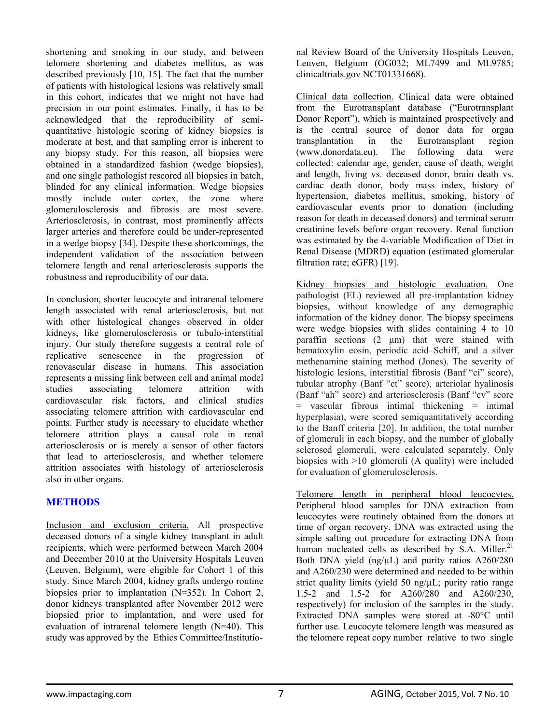shortening and smoking in our study, and between telomere shortening and diabetes mellitus, as was described previously [10, 15]. The fact that the number of patients with histological lesions was relatively small in this cohort, indicates that we might not have had precision in our point estimates. Finally, it has to be acknowledged that the reproducibility of semiquantitative histologic scoring of kidney biopsies is moderate at best, and that sampling error is inherent to any biopsy study. For this reason, all biopsies were obtained in a standardized fashion (wedge biopsies), and one single pathologist rescored all biopsies in batch, blinded for any clinical information. Wedge biopsies mostly include outer cortex, the zone where glomerulosclerosis and fibrosis are most severe. Arteriosclerosis, in contrast, most prominently affects larger arteries and therefore could be under-represented in a wedge biopsy [34]. Despite these shortcomings, the independent validation of the association between telomere length and renal arteriosclerosis supports the robustness and reproducibility of our data.

In conclusion, shorter leucocyte and intrarenal telomere length associated with renal arteriosclerosis, but not with other histological changes observed in older kidneys, like glomerulosclerosis or tubulo-interstitial injury. Our study therefore suggests a central role of replicative senescence in the progression of renovascular disease in humans. This association represents a missing link between cell and animal model studies associating telomere attrition with cardiovascular risk factors, and clinical studies associating telomere attrition with cardiovascular end points. Further study is necessary to elucidate whether telomere attrition plays a causal role in renal arteriosclerosis or is merely a sensor of other factors that lead to arteriosclerosis, and whether telomere attrition associates with histology of arteriosclerosis also in other organs.

# **METHODS**

Inclusion and exclusion criteria. All prospective deceased donors of a single kidney transplant in adult recipients, which were performed between March 2004 and December 2010 at the University Hospitals Leuven (Leuven, Belgium), were eligible for Cohort 1 of this study. Since March 2004, kidney grafts undergo routine biopsies prior to implantation (N=352). In Cohort 2, donor kidneys transplanted after November 2012 were biopsied prior to implantation, and were used for evaluation of intrarenal telomere length (N=40). This study was approved by the Ethics Committee/Institutional Review Board of the University Hospitals Leuven, Leuven, Belgium (OG032; ML7499 and ML9785; clinicaltrials.gov NCT01331668).

Clinical data collection. Clinical data were obtained from the Eurotransplant database ("Eurotransplant Donor Report"), which is maintained prospectively and is the central source of donor data for organ transplantation in the Eurotransplant region (www.donordata.eu). The following data were collected: calendar age, gender, cause of death, weight and length, living vs. deceased donor, brain death vs. cardiac death donor, body mass index, history of hypertension, diabetes mellitus, smoking, history of cardiovascular events prior to donation (including reason for death in deceased donors) and terminal serum creatinine levels before organ recovery. Renal function was estimated by the 4-variable Modification of Diet in Renal Disease (MDRD) equation (estimated glomerular filtration rate; eGFR) [19].

Kidney biopsies and histologic evaluation. One pathologist (EL) reviewed all pre-implantation kidney biopsies, without knowledge of any demographic information of the kidney donor. The biopsy specimens were wedge biopsies with slides containing 4 to 10 paraffin sections (2 μm) that were stained with hematoxylin eosin, periodic acid–Schiff, and a silver methenamine staining method (Jones). The severity of histologic lesions, interstitial fibrosis (Banf "ci" score), tubular atrophy (Banf "ct" score), arteriolar hyalinosis (Banf "ah" score) and arteriosclerosis (Banf "cv" score = vascular fibrous intimal thickening = intimal hyperplasia), were scored semiquantitatively according to the Banff criteria [20]. In addition, the total number of glomeruli in each biopsy, and the number of globally sclerosed glomeruli, were calculated separately. Only biopsies with >10 glomeruli (A quality) were included for evaluation of glomerulosclerosis.

Telomere length in peripheral blood leucocytes. Peripheral blood samples for DNA extraction from leucocytes were routinely obtained from the donors at time of organ recovery. DNA was extracted using the simple salting out procedure for extracting DNA from human nucleated cells as described by S.A. Miller.<sup>21</sup> Both DNA yield  $(ng/\mu L)$  and purity ratios A260/280 and A260/230 were determined and needed to be within strict quality limits (yield 50 ng/ $\mu$ L; purity ratio range 1.5-2 and 1.5-2 for A260/280 and A260/230, respectively) for inclusion of the samples in the study. Extracted DNA samples were stored at -80°C until further use. Leucocyte telomere length was measured as the telomere repeat copy number relative to two single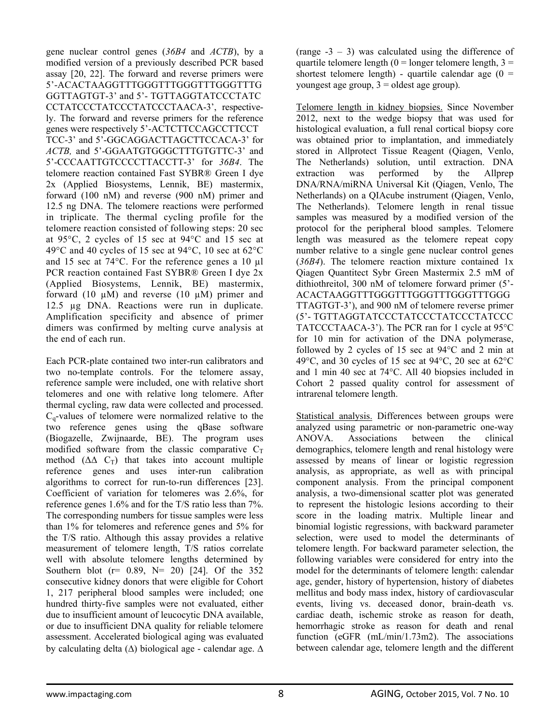gene nuclear control genes (*36B4* and *ACTB*), by a modified version of a previously described PCR based assay [20, 22]. The forward and reverse primers were 5'-ACACTAAGGTTTGGGTTTGGGTTTGGGTTTG GGTTAGTGT-3' and 5'- TGTTAGGTATCCCTATC CCTATCCCTATCCCTATCCCTAACA-3', respectively. The forward and reverse primers for the reference genes were respectively 5'-ACTCTTCCAGCCTTCCT TCC-3' and 5'-GGCAGGACTTAGCTTCCACA-3' for *ACTB,* and 5'-GGAATGTGGGCTTTGTGTTC-3' and 5'-CCCAATTGTCCCCTTACCTT-3' for *36B4*. The telomere reaction contained Fast SYBR® Green I dye 2x (Applied Biosystems, Lennik, BE) mastermix, forward (100 nM) and reverse (900 nM) primer and 12.5 ng DNA. The telomere reactions were performed in triplicate. The thermal cycling profile for the telomere reaction consisted of following steps: 20 sec at 95°C, 2 cycles of 15 sec at 94°C and 15 sec at 49°C and 40 cycles of 15 sec at 94°C, 10 sec at 62°C and 15 sec at 74°C. For the reference genes a 10 µl PCR reaction contained Fast SYBR® Green I dye 2x (Applied Biosystems, Lennik, BE) mastermix, forward (10 µM) and reverse (10 µM) primer and 12.5 µg DNA. Reactions were run in duplicate. Amplification specificity and absence of primer dimers was confirmed by melting curve analysis at the end of each run.

Each PCR-plate contained two inter-run calibrators and two no-template controls. For the telomere assay, reference sample were included, one with relative short telomeres and one with relative long telomere. After thermal cycling, raw data were collected and processed.  $C<sub>q</sub>$ -values of telomere were normalized relative to the two reference genes using the qBase software (Biogazelle, Zwijnaarde, BE). The program uses modified software from the classic comparative  $C_T$ method  $(ΔΔ C<sub>T</sub>)$  that takes into account multiple reference genes and uses inter-run calibration algorithms to correct for run-to-run differences [23]. Coefficient of variation for telomeres was 2.6%, for reference genes 1.6% and for the T/S ratio less than 7%. The corresponding numbers for tissue samples were less than 1% for telomeres and reference genes and 5% for the T/S ratio. Although this assay provides a relative measurement of telomere length, T/S ratios correlate well with absolute telomere lengths determined by Southern blot (r= 0.89, N= 20) [24]. Of the 352 consecutive kidney donors that were eligible for Cohort 1, 217 peripheral blood samples were included; one hundred thirty-five samples were not evaluated, either due to insufficient amount of leucocytic DNA available, or due to insufficient DNA quality for reliable telomere assessment. Accelerated biological aging was evaluated by calculating delta (Δ) biological age - calendar age. Δ

(range  $-3 - 3$ ) was calculated using the difference of quartile telomere length  $(0 =$ longer telomere length,  $3 =$ shortest telomere length) - quartile calendar age  $(0 =$ youngest age group,  $3 =$  oldest age group).

Telomere length in kidney biopsies. Since November 2012, next to the wedge biopsy that was used for histological evaluation, a full renal cortical biopsy core was obtained prior to implantation, and immediately stored in Allprotect Tissue Reagent (Qiagen, Venlo, The Netherlands) solution, until extraction. DNA extraction was performed by the Allprep DNA/RNA/miRNA Universal Kit (Qiagen, Venlo, The Netherlands) on a QIAcube instrument (Qiagen, Venlo, The Netherlands). Telomere length in renal tissue samples was measured by a modified version of the protocol for the peripheral blood samples. Telomere length was measured as the telomere repeat copy number relative to a single gene nuclear control genes (*36B4*). The telomere reaction mixture contained 1x Qiagen Quantitect Sybr Green Mastermix 2.5 mM of dithiothreitol, 300 nM of telomere forward primer (5'- ACACTAAGGTTTGGGTTTGGGTTTGGGTTTGGG TTAGTGT-3'), and 900 nM of telomere reverse primer (5'- TGTTAGGTATCCCTATCCCTATCCCTATCCC TATCCCTAACA-3'). The PCR ran for 1 cycle at 95°C for 10 min for activation of the DNA polymerase, followed by 2 cycles of 15 sec at 94°C and 2 min at 49 $^{\circ}$ C, and 30 cycles of 15 sec at 94 $^{\circ}$ C, 20 sec at 62 $^{\circ}$ C and 1 min 40 sec at 74°C. All 40 biopsies included in Cohort 2 passed quality control for assessment of intrarenal telomere length.

Statistical analysis. Differences between groups were analyzed using parametric or non-parametric one-way ANOVA. Associations between the clinical demographics, telomere length and renal histology were assessed by means of linear or logistic regression analysis, as appropriate, as well as with principal component analysis. From the principal component analysis, a two-dimensional scatter plot was generated to represent the histologic lesions according to their score in the loading matrix. Multiple linear and binomial logistic regressions, with backward parameter selection, were used to model the determinants of telomere length. For backward parameter selection, the following variables were considered for entry into the model for the determinants of telomere length: calendar age, gender, history of hypertension, history of diabetes mellitus and body mass index, history of cardiovascular events, living vs. deceased donor, brain-death vs. cardiac death, ischemic stroke as reason for death, hemorrhagic stroke as reason for death and renal function (eGFR (mL/min/1.73m2). The associations between calendar age, telomere length and the different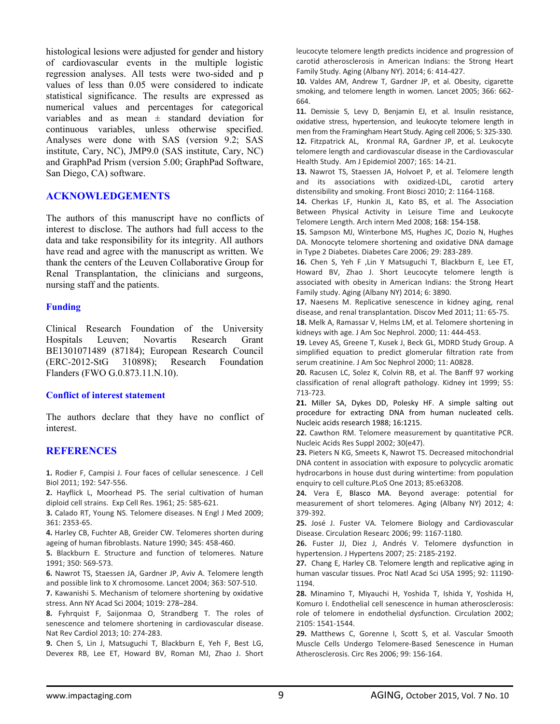histological lesions were adjusted for gender and history of cardiovascular events in the multiple logistic regression analyses. All tests were two-sided and p values of less than 0.05 were considered to indicate statistical significance. The results are expressed as numerical values and percentages for categorical variables and as mean  $\pm$  standard deviation for continuous variables, unless otherwise specified. Analyses were done with SAS (version 9.2; SAS institute, Cary, NC), JMP9.0 (SAS institute, Cary, NC) and GraphPad Prism (version 5.00; GraphPad Software, San Diego, CA) software.

# **ACKNOWLEDGEMENTS**

The authors of this manuscript have no conflicts of interest to disclose. The authors had full access to the data and take responsibility for its integrity. All authors have read and agree with the manuscript as written. We thank the centers of the Leuven Collaborative Group for Renal Transplantation, the clinicians and surgeons, nursing staff and the patients.

### **Funding**

Clinical Research Foundation of the University Hospitals Leuven; Novartis Research Grant BE1301071489 (87184); European Research Council (ERC-2012-StG 310898); Research Foundation Flanders (FWO G.0.873.11.N.10).

#### **Conflict of interest statement**

The authors declare that they have no conflict of interest.

## **REFERENCES**

**1.** Rodier F, Campisi J. Four faces of cellular senescence. J Cell Biol 2011; 192: 547‐556.

**2.** Hayflick L, Moorhead PS. The serial cultivation of human diploid cell strains. Exp Cell Res. 1961; 25: 585‐621.

**3.** Calado RT, Young NS. Telomere diseases. N Engl J Med 2009; 361: 2353‐65.

**4.** Harley CB, Fuchter AB, Greider CW. Telomeres shorten during ageing of human fibroblasts. Nature 1990; 345: 458‐460.

**5.** Blackburn E. Structure and function of telomeres. Nature 1991; 350: 569‐573.

**6.** Nawrot TS, Staessen JA, Gardner JP, Aviv A. Telomere length and possible link to X chromosome. Lancet 2004; 363: 507‐510.

**7.** Kawanishi S. Mechanism of telomere shortening by oxidative stress. Ann NY Acad Sci 2004; 1019: 278–284.

**8.** Fyhrquist F, Saijonmaa O, Strandberg T. The roles of senescence and telomere shortening in cardiovascular disease. Nat Rev Cardiol 2013; 10: 274‐283.

**9.** Chen S, Lin J, Matsuguchi T, Blackburn E, Yeh F, Best LG, Deverex RB, Lee ET, Howard BV, Roman MJ, Zhao J. Short leucocyte telomere length predicts incidence and progression of carotid atherosclerosis in American Indians: the Strong Heart Family Study. Aging (Albany NY). 2014; 6: 414‐427.

**10.** Valdes AM, Andrew T, Gardner JP, et al. Obesity, cigarette smoking, and telomere length in women. Lancet 2005; 366: 662‐ 664.

**11.** Demissie S, Levy D, Benjamin EJ, et al. Insulin resistance, oxidative stress, hypertension, and leukocyte telomere length in men from the Framingham Heart Study. Aging cell 2006; 5: 325‐330. **12.** Fitzpatrick AL, Kronmal RA, Gardner JP, et al. Leukocyte telomere length and cardiovascular disease in the Cardiovascular Health Study. Am J Epidemiol 2007; 165: 14‐21.

**13.** Nawrot TS, Staessen JA, Holvoet P, et al. Telomere length and its associations with oxidized‐LDL, carotid artery distensibility and smoking. Front Biosci 2010; 2: 1164‐1168.

**14.** Cherkas LF, Hunkin JL, Kato BS, et al. The Association Between Physical Activity in Leisure Time and Leukocyte Telomere Length. Arch intern Med 2008; 168: 154‐158.

**15.** Sampson MJ, Winterbone MS, Hughes JC, Dozio N, Hughes DA. Monocyte telomere shortening and oxidative DNA damage in Type 2 Diabetes. Diabetes Care 2006; 29: 283‐289.

**16.** Chen S, Yeh F ,Lin Y Matsuguchi T, Blackburn E, Lee ET, Howard BV, Zhao J. Short Leucocyte telomere length is associated with obesity in American Indians: the Strong Heart Family study. Aging (Albany NY) 2014; 6: 3890.

**17.** Naesens M. Replicative senescence in kidney aging, renal disease, and renal transplantation. Discov Med 2011; 11: 65‐75.

**18.** Melk A, Ramassar V, Helms LM, et al. Telomere shortening in kidneys with age. J Am Soc Nephrol. 2000; 11: 444‐453.

**19.** Levey AS, Greene T, Kusek J, Beck GL, MDRD Study Group. A simplified equation to predict glomerular filtration rate from serum creatinine. J Am Soc Nephrol 2000; 11: A0828.

**20.** Racusen LC, Solez K, Colvin RB, et al. The Banff 97 working classification of renal allograft pathology. Kidney int 1999; 55: 713‐723.

**21.** Miller SA, Dykes DD, Polesky HF. A simple salting out procedure for extracting DNA from human nucleated cells. Nucleic acids research 1988; 16:1215.

**22.** Cawthon RM. Telomere measurement by quantitative PCR. Nucleic Acids Res Suppl 2002; 30(e47).

**23.** Pieters N KG, Smeets K, Nawrot TS. Decreased mitochondrial DNA content in association with exposure to polycyclic aromatic hydrocarbons in house dust during wintertime: from population enquiry to cell culture.PLoS One 2013; 85:e63208.

**24.** Vera E, Blasco MA. Beyond average: potential for measurement of short telomeres. Aging (Albany NY) 2012; 4: 379‐392.

**25.** José J. Fuster VA. Telomere Biology and Cardiovascular Disease. Circulation Researc 2006; 99: 1167‐1180.

**26.** Fuster JJ, Diez J, Andrés V. Telomere dysfunction in hypertension. J Hypertens 2007; 25: 2185‐2192.

**27.** Chang E, Harley CB. Telomere length and replicative aging in human vascular tissues. Proc Natl Acad Sci USA 1995; 92: 11190‐ 1194.

**28.** Minamino T, Miyauchi H, Yoshida T, Ishida Y, Yoshida H, Komuro I. Endothelial cell senescence in human atherosclerosis: role of telomere in endothelial dysfunction. Circulation 2002; 2105: 1541‐1544.

**29.** Matthews C, Gorenne I, Scott S, et al. Vascular Smooth Muscle Cells Undergo Telomere‐Based Senescence in Human Atherosclerosis. Circ Res 2006; 99: 156‐164.